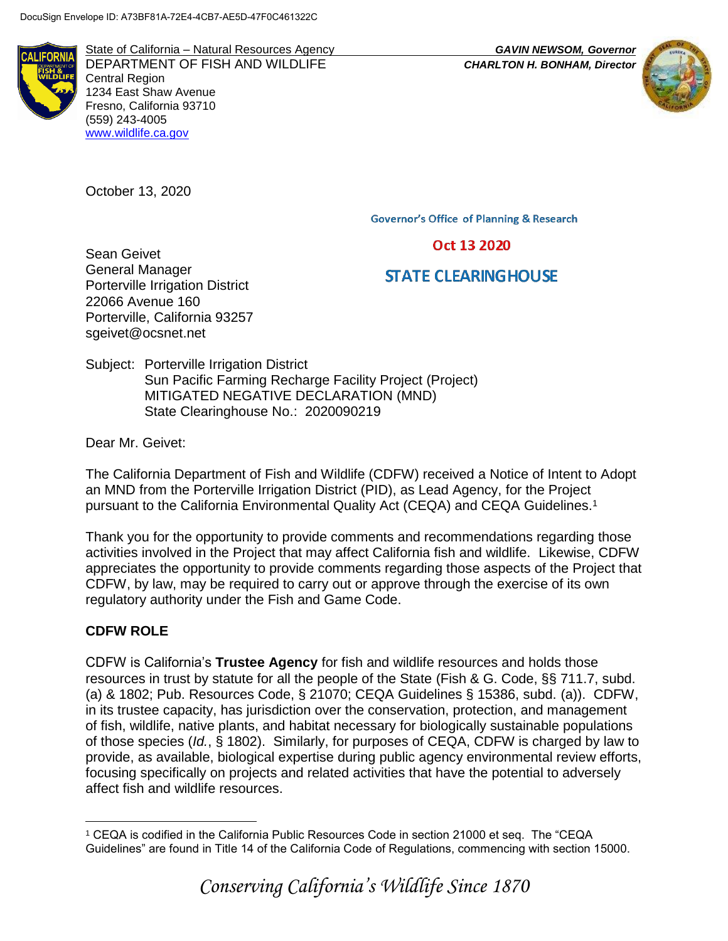

State of California – Natural Resources Agency *GAVIN NEWSOM, Governor* DEPARTMENT OF FISH AND WILDLIFE *CHARLTON H. BONHAM, Director*  Central Region 1234 East Shaw Avenue Fresno, California 93710 (559) 243-4005 [www.wildlife.ca.gov](http://www.wildlife.ca.gov/)

October 13, 2020

**Governor's Office of Planning & Research** 

Oct 13 2020

# **STATE CLEARING HOUSE**

Sean Geivet General Manager Porterville Irrigation District 22066 Avenue 160 Porterville, California 93257 sgeivet@ocsnet.net

Subject: Porterville Irrigation District Sun Pacific Farming Recharge Facility Project (Project) MITIGATED NEGATIVE DECLARATION (MND) State Clearinghouse No.: 2020090219

Dear Mr. Geivet:

The California Department of Fish and Wildlife (CDFW) received a Notice of Intent to Adopt an MND from the Porterville Irrigation District (PID), as Lead Agency, for the Project pursuant to the California Environmental Quality Act (CEQA) and CEQA Guidelines.<sup>1</sup>

Thank you for the opportunity to provide comments and recommendations regarding those activities involved in the Project that may affect California fish and wildlife. Likewise, CDFW appreciates the opportunity to provide comments regarding those aspects of the Project that CDFW, by law, may be required to carry out or approve through the exercise of its own regulatory authority under the Fish and Game Code.

# **CDFW ROLE**

CDFW is California's **Trustee Agency** for fish and wildlife resources and holds those resources in trust by statute for all the people of the State (Fish & G. Code, §§ 711.7, subd. (a) & 1802; Pub. Resources Code, § 21070; CEQA Guidelines § 15386, subd. (a)). CDFW, in its trustee capacity, has jurisdiction over the conservation, protection, and management of fish, wildlife, native plants, and habitat necessary for biologically sustainable populations of those species (*Id.*, § 1802). Similarly, for purposes of CEQA, CDFW is charged by law to provide, as available, biological expertise during public agency environmental review efforts, focusing specifically on projects and related activities that have the potential to adversely affect fish and wildlife resources.

 $\overline{a}$ <sup>1</sup> CEQA is codified in the California Public Resources Code in section 21000 et seq. The "CEQA Guidelines" are found in Title 14 of the California Code of Regulations, commencing with section 15000.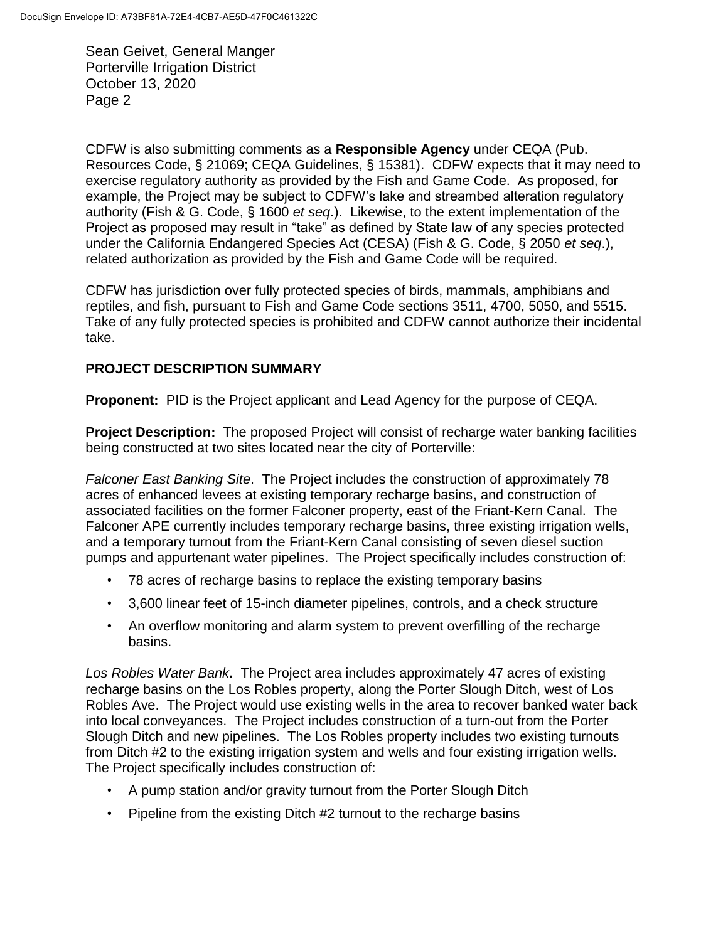CDFW is also submitting comments as a **Responsible Agency** under CEQA (Pub. Resources Code, § 21069; CEQA Guidelines, § 15381). CDFW expects that it may need to exercise regulatory authority as provided by the Fish and Game Code. As proposed, for example, the Project may be subject to CDFW's lake and streambed alteration regulatory authority (Fish & G. Code, § 1600 *et seq*.). Likewise, to the extent implementation of the Project as proposed may result in "take" as defined by State law of any species protected under the California Endangered Species Act (CESA) (Fish & G. Code, § 2050 *et seq*.), related authorization as provided by the Fish and Game Code will be required.

CDFW has jurisdiction over fully protected species of birds, mammals, amphibians and reptiles, and fish, pursuant to Fish and Game Code sections 3511, 4700, 5050, and 5515. Take of any fully protected species is prohibited and CDFW cannot authorize their incidental take.

# **PROJECT DESCRIPTION SUMMARY**

**Proponent:** PID is the Project applicant and Lead Agency for the purpose of CEQA.

**Project Description:** The proposed Project will consist of recharge water banking facilities being constructed at two sites located near the city of Porterville:

*Falconer East Banking Site*. The Project includes the construction of approximately 78 acres of enhanced levees at existing temporary recharge basins, and construction of associated facilities on the former Falconer property, east of the Friant-Kern Canal. The Falconer APE currently includes temporary recharge basins, three existing irrigation wells, and a temporary turnout from the Friant-Kern Canal consisting of seven diesel suction pumps and appurtenant water pipelines. The Project specifically includes construction of:

- 78 acres of recharge basins to replace the existing temporary basins
- 3,600 linear feet of 15-inch diameter pipelines, controls, and a check structure
- An overflow monitoring and alarm system to prevent overfilling of the recharge basins.

*Los Robles Water Bank***.** The Project area includes approximately 47 acres of existing recharge basins on the Los Robles property, along the Porter Slough Ditch, west of Los Robles Ave. The Project would use existing wells in the area to recover banked water back into local conveyances. The Project includes construction of a turn-out from the Porter Slough Ditch and new pipelines. The Los Robles property includes two existing turnouts from Ditch #2 to the existing irrigation system and wells and four existing irrigation wells. The Project specifically includes construction of:

- A pump station and/or gravity turnout from the Porter Slough Ditch
- Pipeline from the existing Ditch #2 turnout to the recharge basins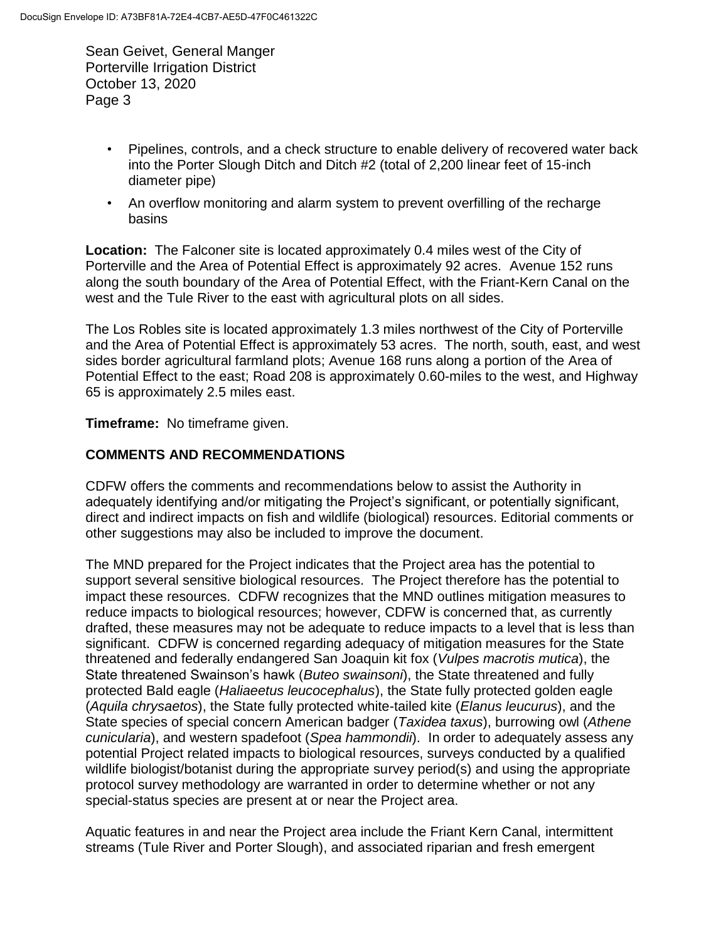- Pipelines, controls, and a check structure to enable delivery of recovered water back into the Porter Slough Ditch and Ditch #2 (total of 2,200 linear feet of 15-inch diameter pipe)
- An overflow monitoring and alarm system to prevent overfilling of the recharge basins

**Location:** The Falconer site is located approximately 0.4 miles west of the City of Porterville and the Area of Potential Effect is approximately 92 acres. Avenue 152 runs along the south boundary of the Area of Potential Effect, with the Friant-Kern Canal on the west and the Tule River to the east with agricultural plots on all sides.

The Los Robles site is located approximately 1.3 miles northwest of the City of Porterville and the Area of Potential Effect is approximately 53 acres. The north, south, east, and west sides border agricultural farmland plots; Avenue 168 runs along a portion of the Area of Potential Effect to the east; Road 208 is approximately 0.60-miles to the west, and Highway 65 is approximately 2.5 miles east.

## **Timeframe:** No timeframe given.

# **COMMENTS AND RECOMMENDATIONS**

CDFW offers the comments and recommendations below to assist the Authority in adequately identifying and/or mitigating the Project's significant, or potentially significant, direct and indirect impacts on fish and wildlife (biological) resources. Editorial comments or other suggestions may also be included to improve the document.

The MND prepared for the Project indicates that the Project area has the potential to support several sensitive biological resources. The Project therefore has the potential to impact these resources. CDFW recognizes that the MND outlines mitigation measures to reduce impacts to biological resources; however, CDFW is concerned that, as currently drafted, these measures may not be adequate to reduce impacts to a level that is less than significant. CDFW is concerned regarding adequacy of mitigation measures for the State threatened and federally endangered San Joaquin kit fox (*Vulpes macrotis mutica*), the State threatened Swainson's hawk (*Buteo swainsoni*), the State threatened and fully protected Bald eagle (*Haliaeetus leucocephalus*), the State fully protected golden eagle (*Aquila chrysaetos*), the State fully protected white-tailed kite (*Elanus leucurus*), and the State species of special concern American badger (*Taxidea taxus*), burrowing owl (*Athene cunicularia*), and western spadefoot (*Spea hammondii*). In order to adequately assess any potential Project related impacts to biological resources, surveys conducted by a qualified wildlife biologist/botanist during the appropriate survey period(s) and using the appropriate protocol survey methodology are warranted in order to determine whether or not any special-status species are present at or near the Project area.

Aquatic features in and near the Project area include the Friant Kern Canal, intermittent streams (Tule River and Porter Slough), and associated riparian and fresh emergent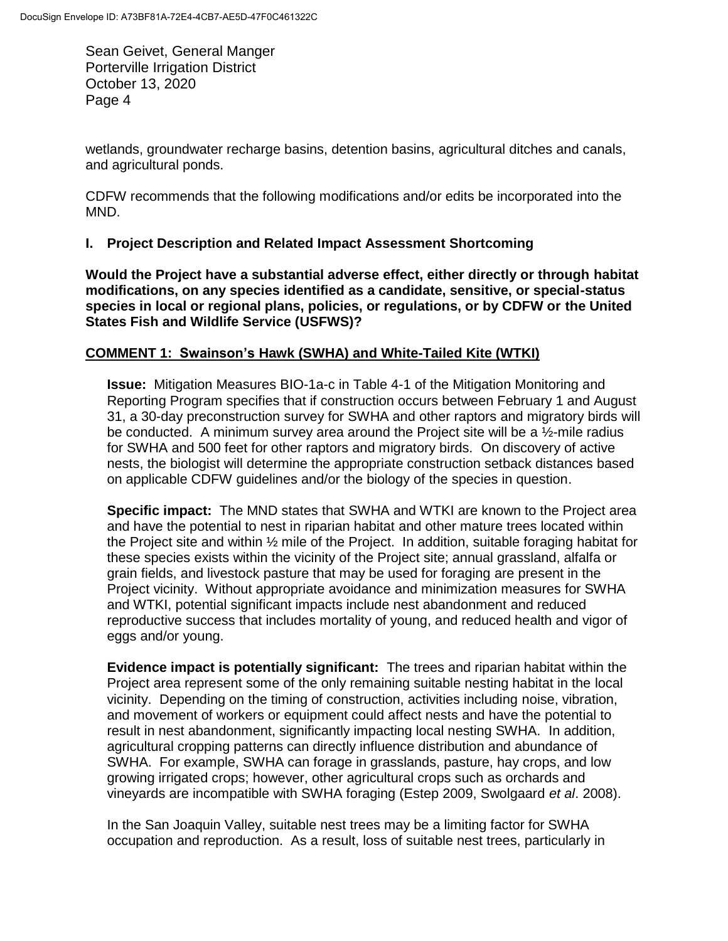wetlands, groundwater recharge basins, detention basins, agricultural ditches and canals, and agricultural ponds.

CDFW recommends that the following modifications and/or edits be incorporated into the MND.

## **I. Project Description and Related Impact Assessment Shortcoming**

**Would the Project have a substantial adverse effect, either directly or through habitat modifications, on any species identified as a candidate, sensitive, or special-status species in local or regional plans, policies, or regulations, or by CDFW or the United States Fish and Wildlife Service (USFWS)?** 

## **COMMENT 1: Swainson's Hawk (SWHA) and White-Tailed Kite (WTKI)**

**Issue:** Mitigation Measures BIO-1a-c in Table 4-1 of the Mitigation Monitoring and Reporting Program specifies that if construction occurs between February 1 and August 31, a 30-day preconstruction survey for SWHA and other raptors and migratory birds will be conducted. A minimum survey area around the Project site will be a  $\frac{1}{2}$ -mile radius for SWHA and 500 feet for other raptors and migratory birds. On discovery of active nests, the biologist will determine the appropriate construction setback distances based on applicable CDFW guidelines and/or the biology of the species in question.

**Specific impact:** The MND states that SWHA and WTKI are known to the Project area and have the potential to nest in riparian habitat and other mature trees located within the Project site and within ½ mile of the Project. In addition, suitable foraging habitat for these species exists within the vicinity of the Project site; annual grassland, alfalfa or grain fields, and livestock pasture that may be used for foraging are present in the Project vicinity. Without appropriate avoidance and minimization measures for SWHA and WTKI, potential significant impacts include nest abandonment and reduced reproductive success that includes mortality of young, and reduced health and vigor of eggs and/or young.

**Evidence impact is potentially significant:** The trees and riparian habitat within the Project area represent some of the only remaining suitable nesting habitat in the local vicinity. Depending on the timing of construction, activities including noise, vibration, and movement of workers or equipment could affect nests and have the potential to result in nest abandonment, significantly impacting local nesting SWHA. In addition, agricultural cropping patterns can directly influence distribution and abundance of SWHA. For example, SWHA can forage in grasslands, pasture, hay crops, and low growing irrigated crops; however, other agricultural crops such as orchards and vineyards are incompatible with SWHA foraging (Estep 2009, Swolgaard *et al*. 2008).

In the San Joaquin Valley, suitable nest trees may be a limiting factor for SWHA occupation and reproduction. As a result, loss of suitable nest trees, particularly in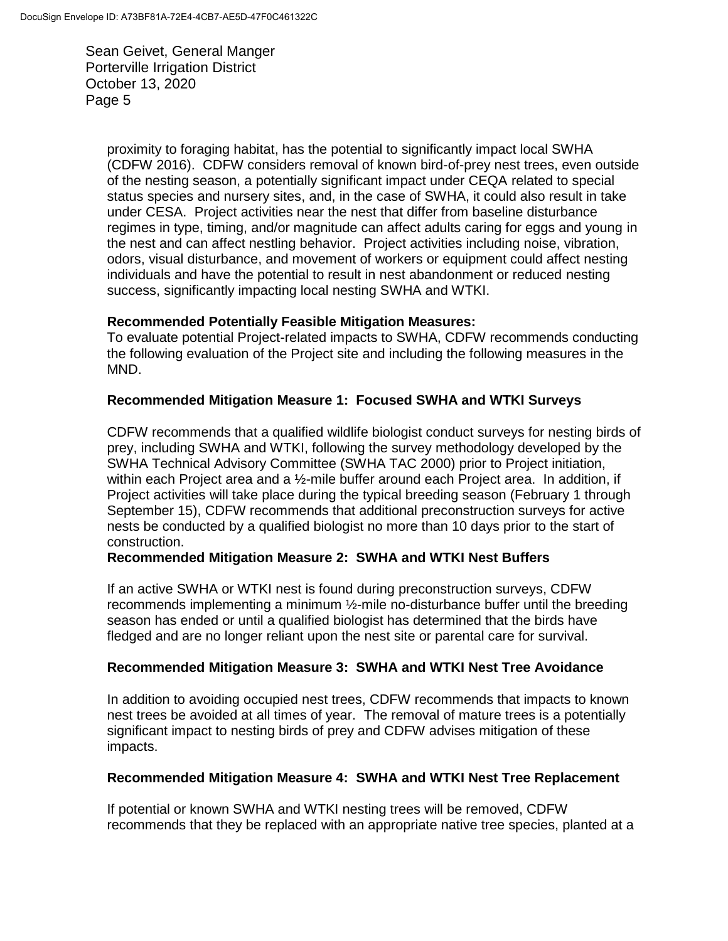> proximity to foraging habitat, has the potential to significantly impact local SWHA (CDFW 2016). CDFW considers removal of known bird-of-prey nest trees, even outside of the nesting season, a potentially significant impact under CEQA related to special status species and nursery sites, and, in the case of SWHA, it could also result in take under CESA. Project activities near the nest that differ from baseline disturbance regimes in type, timing, and/or magnitude can affect adults caring for eggs and young in the nest and can affect nestling behavior. Project activities including noise, vibration, odors, visual disturbance, and movement of workers or equipment could affect nesting individuals and have the potential to result in nest abandonment or reduced nesting success, significantly impacting local nesting SWHA and WTKI.

## **Recommended Potentially Feasible Mitigation Measures:**

To evaluate potential Project-related impacts to SWHA, CDFW recommends conducting the following evaluation of the Project site and including the following measures in the MND.

## **Recommended Mitigation Measure 1: Focused SWHA and WTKI Surveys**

CDFW recommends that a qualified wildlife biologist conduct surveys for nesting birds of prey, including SWHA and WTKI, following the survey methodology developed by the SWHA Technical Advisory Committee (SWHA TAC 2000) prior to Project initiation, within each Project area and a  $\frac{1}{2}$ -mile buffer around each Project area. In addition, if Project activities will take place during the typical breeding season (February 1 through September 15), CDFW recommends that additional preconstruction surveys for active nests be conducted by a qualified biologist no more than 10 days prior to the start of construction.

## **Recommended Mitigation Measure 2: SWHA and WTKI Nest Buffers**

If an active SWHA or WTKI nest is found during preconstruction surveys, CDFW recommends implementing a minimum ½-mile no-disturbance buffer until the breeding season has ended or until a qualified biologist has determined that the birds have fledged and are no longer reliant upon the nest site or parental care for survival.

## **Recommended Mitigation Measure 3: SWHA and WTKI Nest Tree Avoidance**

In addition to avoiding occupied nest trees, CDFW recommends that impacts to known nest trees be avoided at all times of year. The removal of mature trees is a potentially significant impact to nesting birds of prey and CDFW advises mitigation of these impacts.

#### **Recommended Mitigation Measure 4: SWHA and WTKI Nest Tree Replacement**

If potential or known SWHA and WTKI nesting trees will be removed, CDFW recommends that they be replaced with an appropriate native tree species, planted at a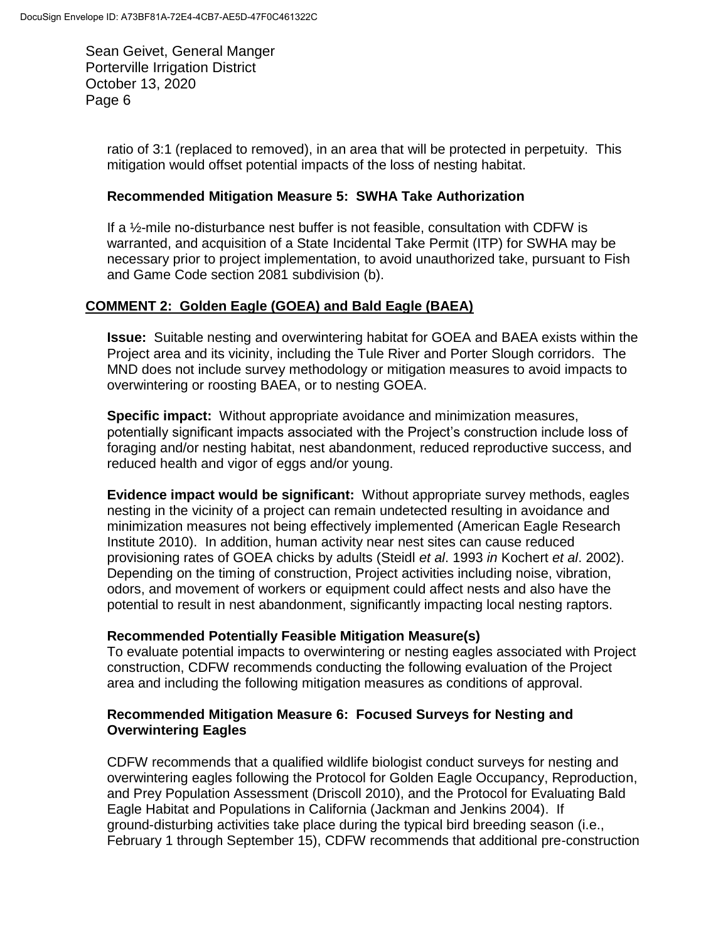> ratio of 3:1 (replaced to removed), in an area that will be protected in perpetuity. This mitigation would offset potential impacts of the loss of nesting habitat.

#### **Recommended Mitigation Measure 5: SWHA Take Authorization**

If a ½-mile no-disturbance nest buffer is not feasible, consultation with CDFW is warranted, and acquisition of a State Incidental Take Permit (ITP) for SWHA may be necessary prior to project implementation, to avoid unauthorized take, pursuant to Fish and Game Code section 2081 subdivision (b).

## **COMMENT 2: Golden Eagle (GOEA) and Bald Eagle (BAEA)**

**Issue:** Suitable nesting and overwintering habitat for GOEA and BAEA exists within the Project area and its vicinity, including the Tule River and Porter Slough corridors. The MND does not include survey methodology or mitigation measures to avoid impacts to overwintering or roosting BAEA, or to nesting GOEA.

**Specific impact:** Without appropriate avoidance and minimization measures, potentially significant impacts associated with the Project's construction include loss of foraging and/or nesting habitat, nest abandonment, reduced reproductive success, and reduced health and vigor of eggs and/or young.

**Evidence impact would be significant:** Without appropriate survey methods, eagles nesting in the vicinity of a project can remain undetected resulting in avoidance and minimization measures not being effectively implemented (American Eagle Research Institute 2010). In addition, human activity near nest sites can cause reduced provisioning rates of GOEA chicks by adults (Steidl *et al*. 1993 *in* Kochert *et al*. 2002). Depending on the timing of construction, Project activities including noise, vibration, odors, and movement of workers or equipment could affect nests and also have the potential to result in nest abandonment, significantly impacting local nesting raptors.

## **Recommended Potentially Feasible Mitigation Measure(s)**

To evaluate potential impacts to overwintering or nesting eagles associated with Project construction, CDFW recommends conducting the following evaluation of the Project area and including the following mitigation measures as conditions of approval.

## **Recommended Mitigation Measure 6: Focused Surveys for Nesting and Overwintering Eagles**

CDFW recommends that a qualified wildlife biologist conduct surveys for nesting and overwintering eagles following the Protocol for Golden Eagle Occupancy, Reproduction, and Prey Population Assessment (Driscoll 2010), and the Protocol for Evaluating Bald Eagle Habitat and Populations in California (Jackman and Jenkins 2004). If ground-disturbing activities take place during the typical bird breeding season (i.e., February 1 through September 15), CDFW recommends that additional pre-construction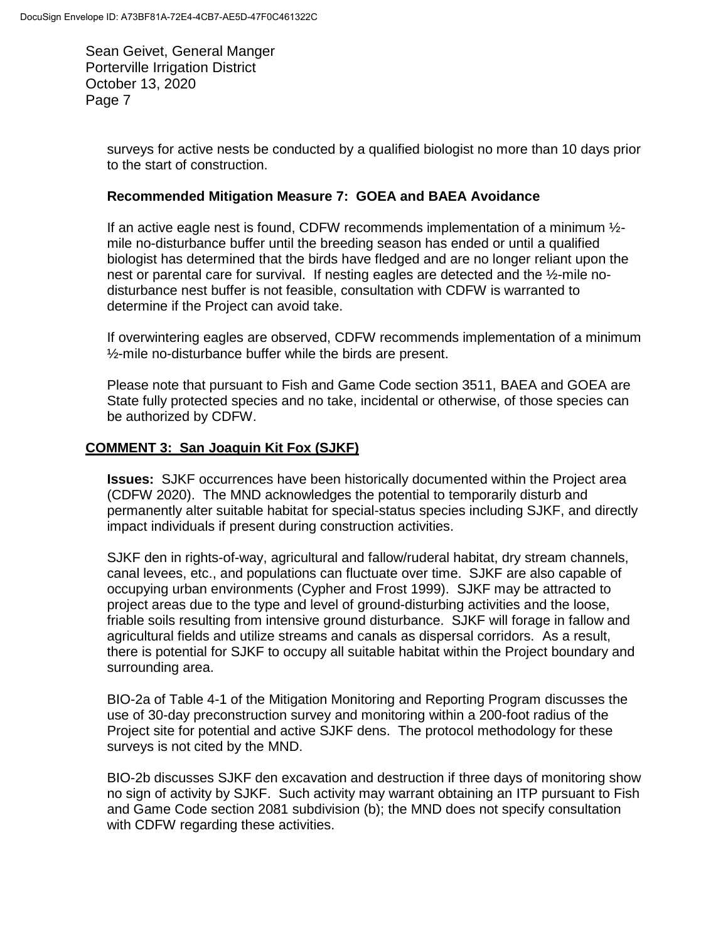> surveys for active nests be conducted by a qualified biologist no more than 10 days prior to the start of construction.

## **Recommended Mitigation Measure 7: GOEA and BAEA Avoidance**

If an active eagle nest is found, CDFW recommends implementation of a minimum  $\frac{1}{2}$ mile no-disturbance buffer until the breeding season has ended or until a qualified biologist has determined that the birds have fledged and are no longer reliant upon the nest or parental care for survival. If nesting eagles are detected and the ½-mile nodisturbance nest buffer is not feasible, consultation with CDFW is warranted to determine if the Project can avoid take.

If overwintering eagles are observed, CDFW recommends implementation of a minimum ½-mile no-disturbance buffer while the birds are present.

Please note that pursuant to Fish and Game Code section 3511, BAEA and GOEA are State fully protected species and no take, incidental or otherwise, of those species can be authorized by CDFW.

## **COMMENT 3: San Joaquin Kit Fox (SJKF)**

**Issues:** SJKF occurrences have been historically documented within the Project area (CDFW 2020). The MND acknowledges the potential to temporarily disturb and permanently alter suitable habitat for special-status species including SJKF, and directly impact individuals if present during construction activities.

SJKF den in rights-of-way, agricultural and fallow/ruderal habitat, dry stream channels, canal levees, etc., and populations can fluctuate over time. SJKF are also capable of occupying urban environments (Cypher and Frost 1999). SJKF may be attracted to project areas due to the type and level of ground-disturbing activities and the loose, friable soils resulting from intensive ground disturbance. SJKF will forage in fallow and agricultural fields and utilize streams and canals as dispersal corridors. As a result, there is potential for SJKF to occupy all suitable habitat within the Project boundary and surrounding area.

BIO-2a of Table 4-1 of the Mitigation Monitoring and Reporting Program discusses the use of 30-day preconstruction survey and monitoring within a 200-foot radius of the Project site for potential and active SJKF dens. The protocol methodology for these surveys is not cited by the MND.

BIO-2b discusses SJKF den excavation and destruction if three days of monitoring show no sign of activity by SJKF. Such activity may warrant obtaining an ITP pursuant to Fish and Game Code section 2081 subdivision (b); the MND does not specify consultation with CDFW regarding these activities.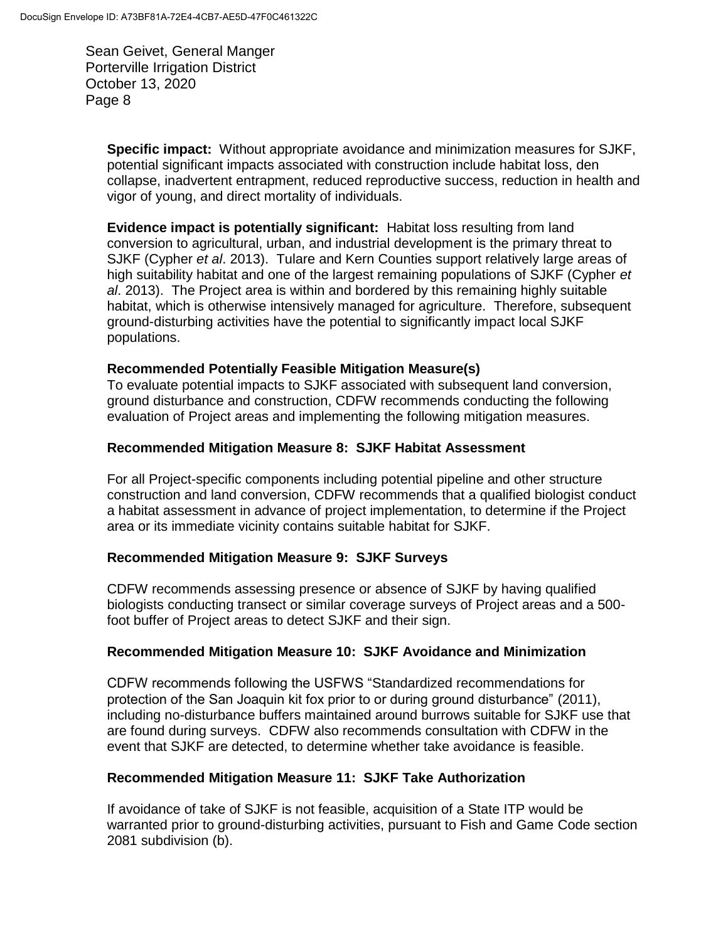> **Specific impact:** Without appropriate avoidance and minimization measures for SJKF, potential significant impacts associated with construction include habitat loss, den collapse, inadvertent entrapment, reduced reproductive success, reduction in health and vigor of young, and direct mortality of individuals.

**Evidence impact is potentially significant:** Habitat loss resulting from land conversion to agricultural, urban, and industrial development is the primary threat to SJKF (Cypher *et al*. 2013). Tulare and Kern Counties support relatively large areas of high suitability habitat and one of the largest remaining populations of SJKF (Cypher *et al*. 2013). The Project area is within and bordered by this remaining highly suitable habitat, which is otherwise intensively managed for agriculture. Therefore, subsequent ground-disturbing activities have the potential to significantly impact local SJKF populations.

## **Recommended Potentially Feasible Mitigation Measure(s)**

To evaluate potential impacts to SJKF associated with subsequent land conversion, ground disturbance and construction, CDFW recommends conducting the following evaluation of Project areas and implementing the following mitigation measures.

## **Recommended Mitigation Measure 8: SJKF Habitat Assessment**

For all Project-specific components including potential pipeline and other structure construction and land conversion, CDFW recommends that a qualified biologist conduct a habitat assessment in advance of project implementation, to determine if the Project area or its immediate vicinity contains suitable habitat for SJKF.

## **Recommended Mitigation Measure 9: SJKF Surveys**

CDFW recommends assessing presence or absence of SJKF by having qualified biologists conducting transect or similar coverage surveys of Project areas and a 500 foot buffer of Project areas to detect SJKF and their sign.

## **Recommended Mitigation Measure 10: SJKF Avoidance and Minimization**

CDFW recommends following the USFWS "Standardized recommendations for protection of the San Joaquin kit fox prior to or during ground disturbance" (2011), including no-disturbance buffers maintained around burrows suitable for SJKF use that are found during surveys. CDFW also recommends consultation with CDFW in the event that SJKF are detected, to determine whether take avoidance is feasible.

## **Recommended Mitigation Measure 11: SJKF Take Authorization**

If avoidance of take of SJKF is not feasible, acquisition of a State ITP would be warranted prior to ground-disturbing activities, pursuant to Fish and Game Code section 2081 subdivision (b).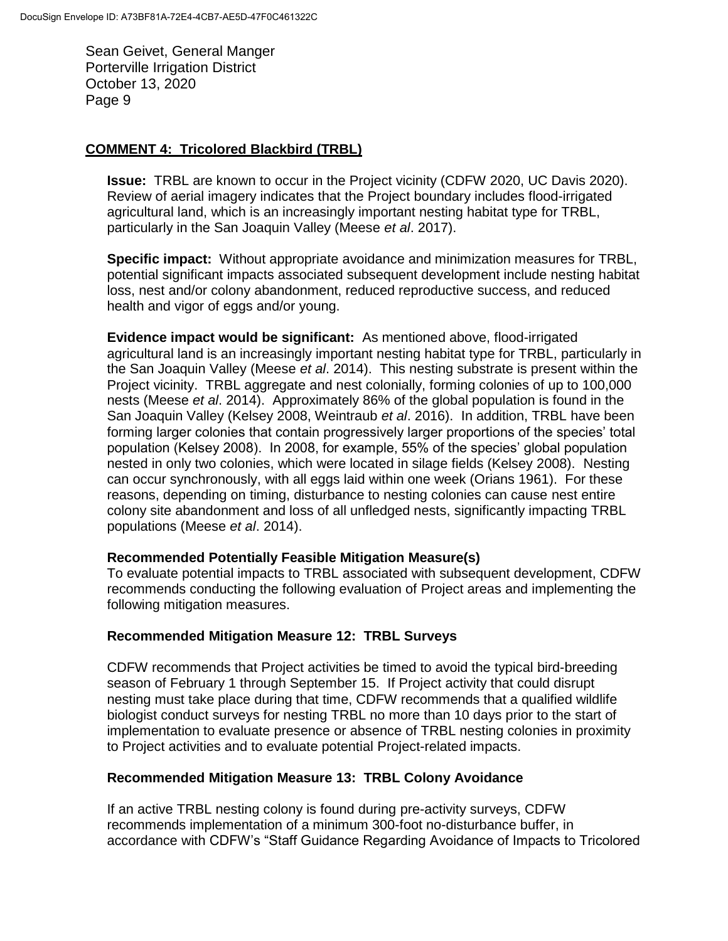## **COMMENT 4: Tricolored Blackbird (TRBL)**

**Issue:** TRBL are known to occur in the Project vicinity (CDFW 2020, UC Davis 2020). Review of aerial imagery indicates that the Project boundary includes flood-irrigated agricultural land, which is an increasingly important nesting habitat type for TRBL, particularly in the San Joaquin Valley (Meese *et al*. 2017).

**Specific impact:** Without appropriate avoidance and minimization measures for TRBL, potential significant impacts associated subsequent development include nesting habitat loss, nest and/or colony abandonment, reduced reproductive success, and reduced health and vigor of eggs and/or young.

**Evidence impact would be significant:** As mentioned above, flood-irrigated agricultural land is an increasingly important nesting habitat type for TRBL, particularly in the San Joaquin Valley (Meese *et al*. 2014). This nesting substrate is present within the Project vicinity. TRBL aggregate and nest colonially, forming colonies of up to 100,000 nests (Meese *et al*. 2014). Approximately 86% of the global population is found in the San Joaquin Valley (Kelsey 2008, Weintraub *et al*. 2016). In addition, TRBL have been forming larger colonies that contain progressively larger proportions of the species' total population (Kelsey 2008). In 2008, for example, 55% of the species' global population nested in only two colonies, which were located in silage fields (Kelsey 2008). Nesting can occur synchronously, with all eggs laid within one week (Orians 1961). For these reasons, depending on timing, disturbance to nesting colonies can cause nest entire colony site abandonment and loss of all unfledged nests, significantly impacting TRBL populations (Meese *et al*. 2014).

## **Recommended Potentially Feasible Mitigation Measure(s)**

To evaluate potential impacts to TRBL associated with subsequent development, CDFW recommends conducting the following evaluation of Project areas and implementing the following mitigation measures.

## **Recommended Mitigation Measure 12: TRBL Surveys**

CDFW recommends that Project activities be timed to avoid the typical bird-breeding season of February 1 through September 15. If Project activity that could disrupt nesting must take place during that time, CDFW recommends that a qualified wildlife biologist conduct surveys for nesting TRBL no more than 10 days prior to the start of implementation to evaluate presence or absence of TRBL nesting colonies in proximity to Project activities and to evaluate potential Project-related impacts.

# **Recommended Mitigation Measure 13: TRBL Colony Avoidance**

If an active TRBL nesting colony is found during pre-activity surveys, CDFW recommends implementation of a minimum 300-foot no-disturbance buffer, in accordance with CDFW's "Staff Guidance Regarding Avoidance of Impacts to Tricolored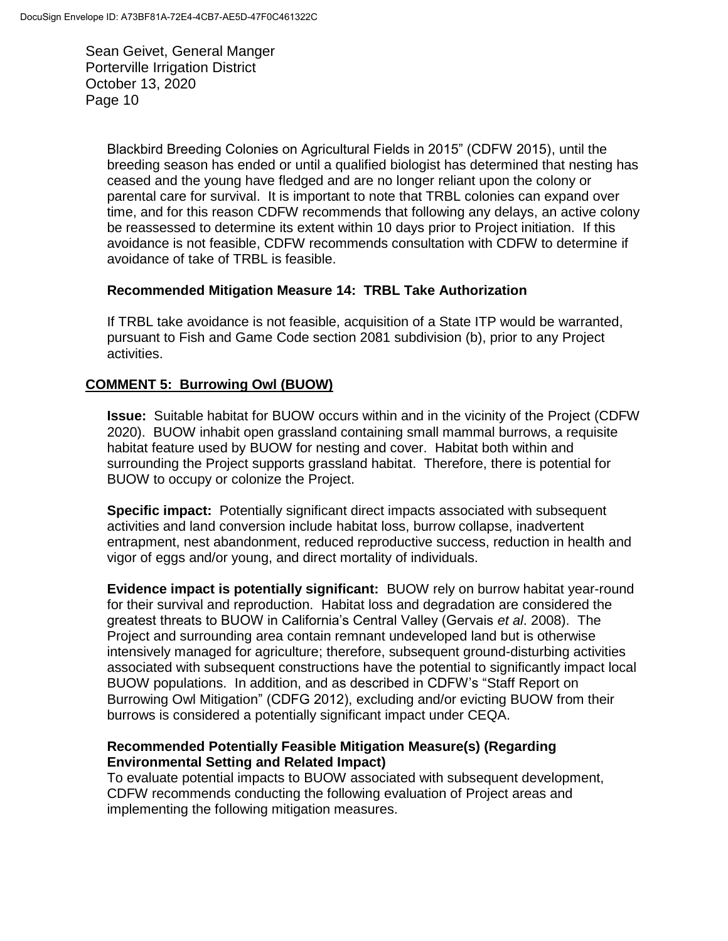> Blackbird Breeding Colonies on Agricultural Fields in 2015" (CDFW 2015), until the breeding season has ended or until a qualified biologist has determined that nesting has ceased and the young have fledged and are no longer reliant upon the colony or parental care for survival. It is important to note that TRBL colonies can expand over time, and for this reason CDFW recommends that following any delays, an active colony be reassessed to determine its extent within 10 days prior to Project initiation. If this avoidance is not feasible, CDFW recommends consultation with CDFW to determine if avoidance of take of TRBL is feasible.

## **Recommended Mitigation Measure 14: TRBL Take Authorization**

If TRBL take avoidance is not feasible, acquisition of a State ITP would be warranted, pursuant to Fish and Game Code section 2081 subdivision (b), prior to any Project activities.

## **COMMENT 5: Burrowing Owl (BUOW)**

**Issue:** Suitable habitat for BUOW occurs within and in the vicinity of the Project (CDFW 2020). BUOW inhabit open grassland containing small mammal burrows, a requisite habitat feature used by BUOW for nesting and cover. Habitat both within and surrounding the Project supports grassland habitat. Therefore, there is potential for BUOW to occupy or colonize the Project.

**Specific impact:** Potentially significant direct impacts associated with subsequent activities and land conversion include habitat loss, burrow collapse, inadvertent entrapment, nest abandonment, reduced reproductive success, reduction in health and vigor of eggs and/or young, and direct mortality of individuals.

**Evidence impact is potentially significant:** BUOW rely on burrow habitat year-round for their survival and reproduction. Habitat loss and degradation are considered the greatest threats to BUOW in California's Central Valley (Gervais *et al*. 2008). The Project and surrounding area contain remnant undeveloped land but is otherwise intensively managed for agriculture; therefore, subsequent ground-disturbing activities associated with subsequent constructions have the potential to significantly impact local BUOW populations. In addition, and as described in CDFW's "Staff Report on Burrowing Owl Mitigation" (CDFG 2012), excluding and/or evicting BUOW from their burrows is considered a potentially significant impact under CEQA.

## **Recommended Potentially Feasible Mitigation Measure(s) (Regarding Environmental Setting and Related Impact)**

To evaluate potential impacts to BUOW associated with subsequent development, CDFW recommends conducting the following evaluation of Project areas and implementing the following mitigation measures.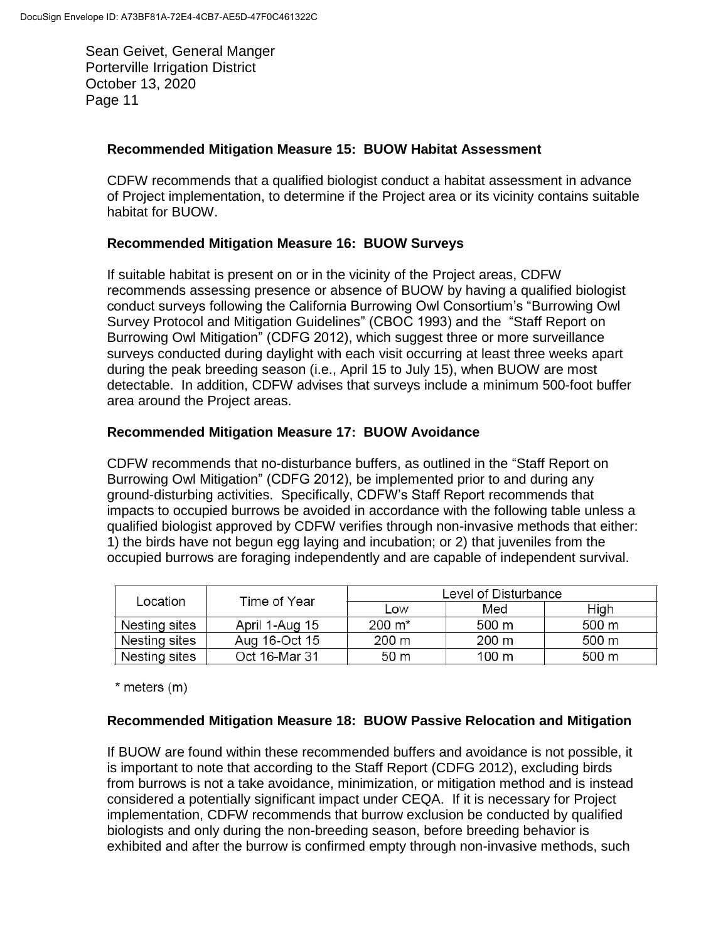## **Recommended Mitigation Measure 15: BUOW Habitat Assessment**

CDFW recommends that a qualified biologist conduct a habitat assessment in advance of Project implementation, to determine if the Project area or its vicinity contains suitable habitat for BUOW.

## **Recommended Mitigation Measure 16: BUOW Surveys**

If suitable habitat is present on or in the vicinity of the Project areas, CDFW recommends assessing presence or absence of BUOW by having a qualified biologist conduct surveys following the California Burrowing Owl Consortium's "Burrowing Owl Survey Protocol and Mitigation Guidelines" (CBOC 1993) and the "Staff Report on Burrowing Owl Mitigation" (CDFG 2012), which suggest three or more surveillance surveys conducted during daylight with each visit occurring at least three weeks apart during the peak breeding season (i.e., April 15 to July 15), when BUOW are most detectable. In addition, CDFW advises that surveys include a minimum 500-foot buffer area around the Project areas.

## **Recommended Mitigation Measure 17: BUOW Avoidance**

CDFW recommends that no-disturbance buffers, as outlined in the "Staff Report on Burrowing Owl Mitigation" (CDFG 2012), be implemented prior to and during any ground-disturbing activities. Specifically, CDFW's Staff Report recommends that impacts to occupied burrows be avoided in accordance with the following table unless a qualified biologist approved by CDFW verifies through non-invasive methods that either: 1) the birds have not begun egg laying and incubation; or 2) that juveniles from the occupied burrows are foraging independently and are capable of independent survival.

| Location      | Time of Year   | Level of Disturbance |       |                 |
|---------------|----------------|----------------------|-------|-----------------|
|               |                | Low                  | Med   | High            |
| Nesting sites | April 1-Aug 15 | 200 m*               | 500 m | 500 m           |
| Nesting sites | Aug 16-Oct 15  | $200 \text{ m}$      | 200 m | $500 \text{ m}$ |
| Nesting sites | Oct 16-Mar 31  | 50 <sub>m</sub>      | 100 m | 500 m           |

 $*$  meters  $(m)$ 

## **Recommended Mitigation Measure 18: BUOW Passive Relocation and Mitigation**

If BUOW are found within these recommended buffers and avoidance is not possible, it is important to note that according to the Staff Report (CDFG 2012), excluding birds from burrows is not a take avoidance, minimization, or mitigation method and is instead considered a potentially significant impact under CEQA. If it is necessary for Project implementation, CDFW recommends that burrow exclusion be conducted by qualified biologists and only during the non-breeding season, before breeding behavior is exhibited and after the burrow is confirmed empty through non-invasive methods, such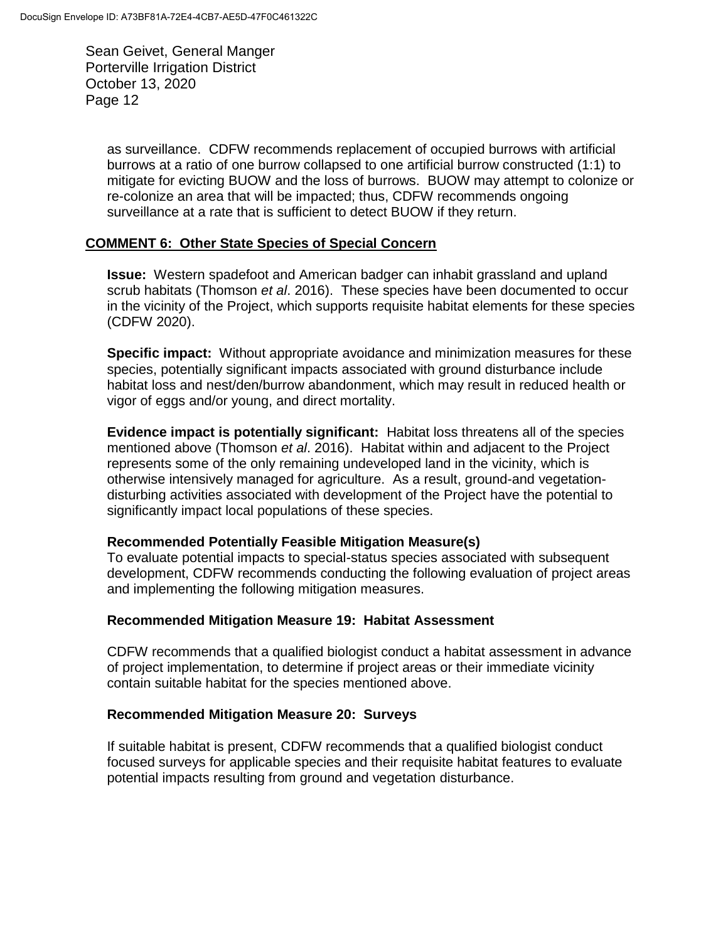> as surveillance. CDFW recommends replacement of occupied burrows with artificial burrows at a ratio of one burrow collapsed to one artificial burrow constructed (1:1) to mitigate for evicting BUOW and the loss of burrows. BUOW may attempt to colonize or re-colonize an area that will be impacted; thus, CDFW recommends ongoing surveillance at a rate that is sufficient to detect BUOW if they return.

## **COMMENT 6: Other State Species of Special Concern**

**Issue:** Western spadefoot and American badger can inhabit grassland and upland scrub habitats (Thomson *et al*. 2016). These species have been documented to occur in the vicinity of the Project, which supports requisite habitat elements for these species (CDFW 2020).

**Specific impact:** Without appropriate avoidance and minimization measures for these species, potentially significant impacts associated with ground disturbance include habitat loss and nest/den/burrow abandonment, which may result in reduced health or vigor of eggs and/or young, and direct mortality.

**Evidence impact is potentially significant:** Habitat loss threatens all of the species mentioned above (Thomson *et al*. 2016). Habitat within and adjacent to the Project represents some of the only remaining undeveloped land in the vicinity, which is otherwise intensively managed for agriculture. As a result, ground-and vegetationdisturbing activities associated with development of the Project have the potential to significantly impact local populations of these species.

#### **Recommended Potentially Feasible Mitigation Measure(s)**

To evaluate potential impacts to special-status species associated with subsequent development, CDFW recommends conducting the following evaluation of project areas and implementing the following mitigation measures.

#### **Recommended Mitigation Measure 19: Habitat Assessment**

CDFW recommends that a qualified biologist conduct a habitat assessment in advance of project implementation, to determine if project areas or their immediate vicinity contain suitable habitat for the species mentioned above.

#### **Recommended Mitigation Measure 20: Surveys**

If suitable habitat is present, CDFW recommends that a qualified biologist conduct focused surveys for applicable species and their requisite habitat features to evaluate potential impacts resulting from ground and vegetation disturbance.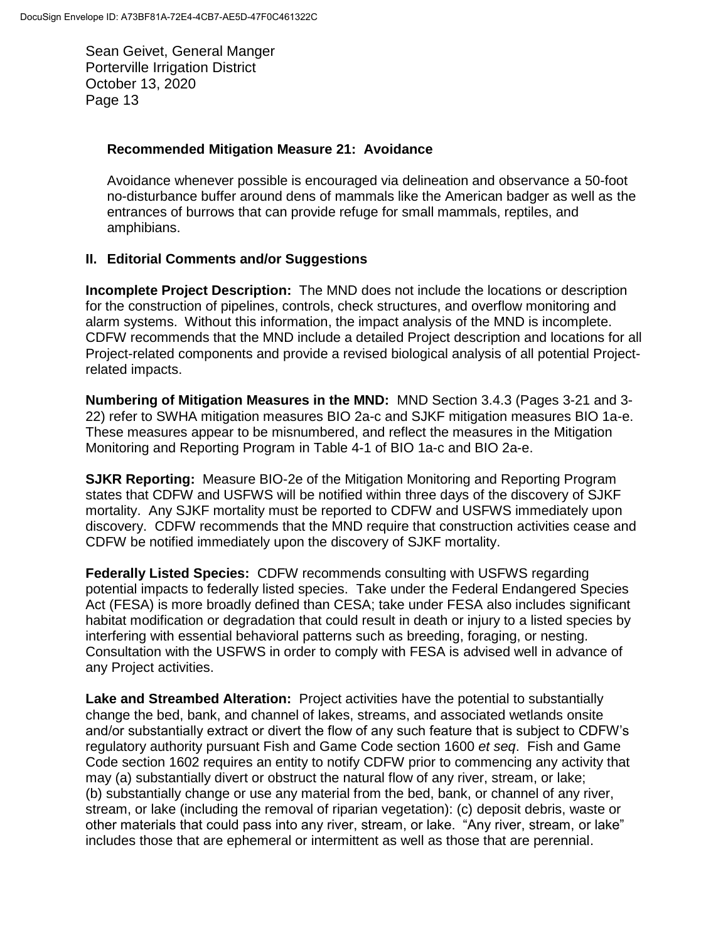#### **Recommended Mitigation Measure 21: Avoidance**

Avoidance whenever possible is encouraged via delineation and observance a 50-foot no-disturbance buffer around dens of mammals like the American badger as well as the entrances of burrows that can provide refuge for small mammals, reptiles, and amphibians.

## **II. Editorial Comments and/or Suggestions**

**Incomplete Project Description:** The MND does not include the locations or description for the construction of pipelines, controls, check structures, and overflow monitoring and alarm systems. Without this information, the impact analysis of the MND is incomplete. CDFW recommends that the MND include a detailed Project description and locations for all Project-related components and provide a revised biological analysis of all potential Projectrelated impacts.

**Numbering of Mitigation Measures in the MND:** MND Section 3.4.3 (Pages 3-21 and 3- 22) refer to SWHA mitigation measures BIO 2a-c and SJKF mitigation measures BIO 1a-e. These measures appear to be misnumbered, and reflect the measures in the Mitigation Monitoring and Reporting Program in Table 4-1 of BIO 1a-c and BIO 2a-e.

**SJKR Reporting:** Measure BIO-2e of the Mitigation Monitoring and Reporting Program states that CDFW and USFWS will be notified within three days of the discovery of SJKF mortality. Any SJKF mortality must be reported to CDFW and USFWS immediately upon discovery. CDFW recommends that the MND require that construction activities cease and CDFW be notified immediately upon the discovery of SJKF mortality.

**Federally Listed Species:** CDFW recommends consulting with USFWS regarding potential impacts to federally listed species. Take under the Federal Endangered Species Act (FESA) is more broadly defined than CESA; take under FESA also includes significant habitat modification or degradation that could result in death or injury to a listed species by interfering with essential behavioral patterns such as breeding, foraging, or nesting. Consultation with the USFWS in order to comply with FESA is advised well in advance of any Project activities.

**Lake and Streambed Alteration:** Project activities have the potential to substantially change the bed, bank, and channel of lakes, streams, and associated wetlands onsite and/or substantially extract or divert the flow of any such feature that is subject to CDFW's regulatory authority pursuant Fish and Game Code section 1600 *et seq*. Fish and Game Code section 1602 requires an entity to notify CDFW prior to commencing any activity that may (a) substantially divert or obstruct the natural flow of any river, stream, or lake; (b) substantially change or use any material from the bed, bank, or channel of any river, stream, or lake (including the removal of riparian vegetation): (c) deposit debris, waste or other materials that could pass into any river, stream, or lake. "Any river, stream, or lake" includes those that are ephemeral or intermittent as well as those that are perennial.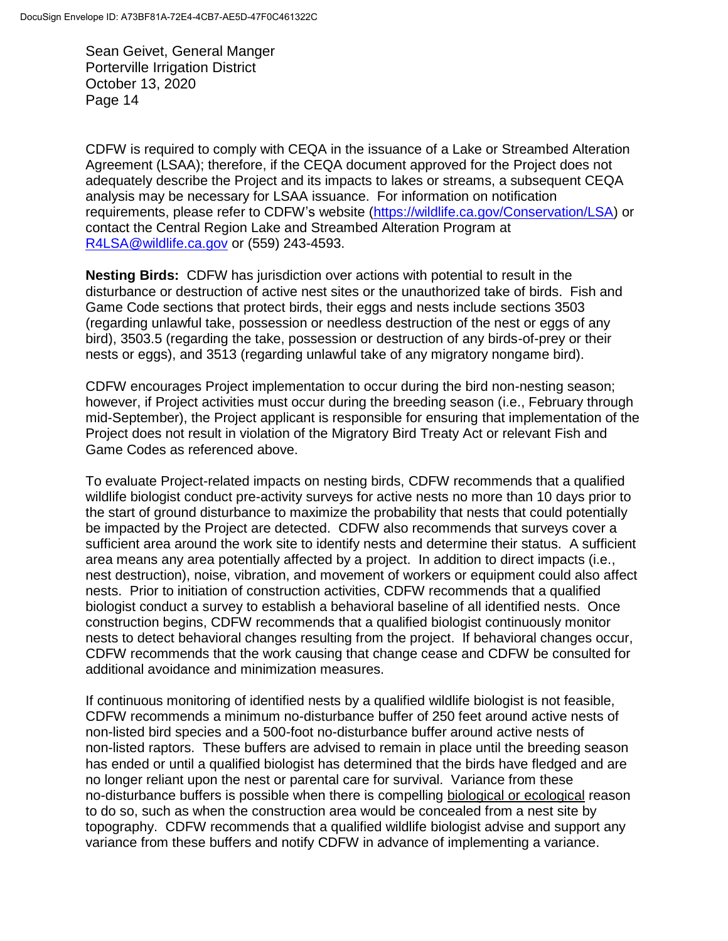CDFW is required to comply with CEQA in the issuance of a Lake or Streambed Alteration Agreement (LSAA); therefore, if the CEQA document approved for the Project does not adequately describe the Project and its impacts to lakes or streams, a subsequent CEQA analysis may be necessary for LSAA issuance. For information on notification requirements, please refer to CDFW's website [\(https://wildlife.ca.gov/Conservation/LSA\)](https://wildlife.ca.gov/Conservation/LSA) or contact the Central Region Lake and Streambed Alteration Program at [R4LSA@wildlife.ca.gov](mailto:R4LSA@wildlife.ca.gov) or (559) 243-4593.

**Nesting Birds:** CDFW has jurisdiction over actions with potential to result in the disturbance or destruction of active nest sites or the unauthorized take of birds. Fish and Game Code sections that protect birds, their eggs and nests include sections 3503 (regarding unlawful take, possession or needless destruction of the nest or eggs of any bird), 3503.5 (regarding the take, possession or destruction of any birds-of-prey or their nests or eggs), and 3513 (regarding unlawful take of any migratory nongame bird).

CDFW encourages Project implementation to occur during the bird non-nesting season; however, if Project activities must occur during the breeding season (i.e., February through mid-September), the Project applicant is responsible for ensuring that implementation of the Project does not result in violation of the Migratory Bird Treaty Act or relevant Fish and Game Codes as referenced above.

To evaluate Project-related impacts on nesting birds, CDFW recommends that a qualified wildlife biologist conduct pre-activity surveys for active nests no more than 10 days prior to the start of ground disturbance to maximize the probability that nests that could potentially be impacted by the Project are detected. CDFW also recommends that surveys cover a sufficient area around the work site to identify nests and determine their status. A sufficient area means any area potentially affected by a project. In addition to direct impacts (i.e., nest destruction), noise, vibration, and movement of workers or equipment could also affect nests. Prior to initiation of construction activities, CDFW recommends that a qualified biologist conduct a survey to establish a behavioral baseline of all identified nests. Once construction begins, CDFW recommends that a qualified biologist continuously monitor nests to detect behavioral changes resulting from the project. If behavioral changes occur, CDFW recommends that the work causing that change cease and CDFW be consulted for additional avoidance and minimization measures.

If continuous monitoring of identified nests by a qualified wildlife biologist is not feasible, CDFW recommends a minimum no-disturbance buffer of 250 feet around active nests of non-listed bird species and a 500-foot no-disturbance buffer around active nests of non-listed raptors. These buffers are advised to remain in place until the breeding season has ended or until a qualified biologist has determined that the birds have fledged and are no longer reliant upon the nest or parental care for survival. Variance from these no-disturbance buffers is possible when there is compelling biological or ecological reason to do so, such as when the construction area would be concealed from a nest site by topography. CDFW recommends that a qualified wildlife biologist advise and support any variance from these buffers and notify CDFW in advance of implementing a variance.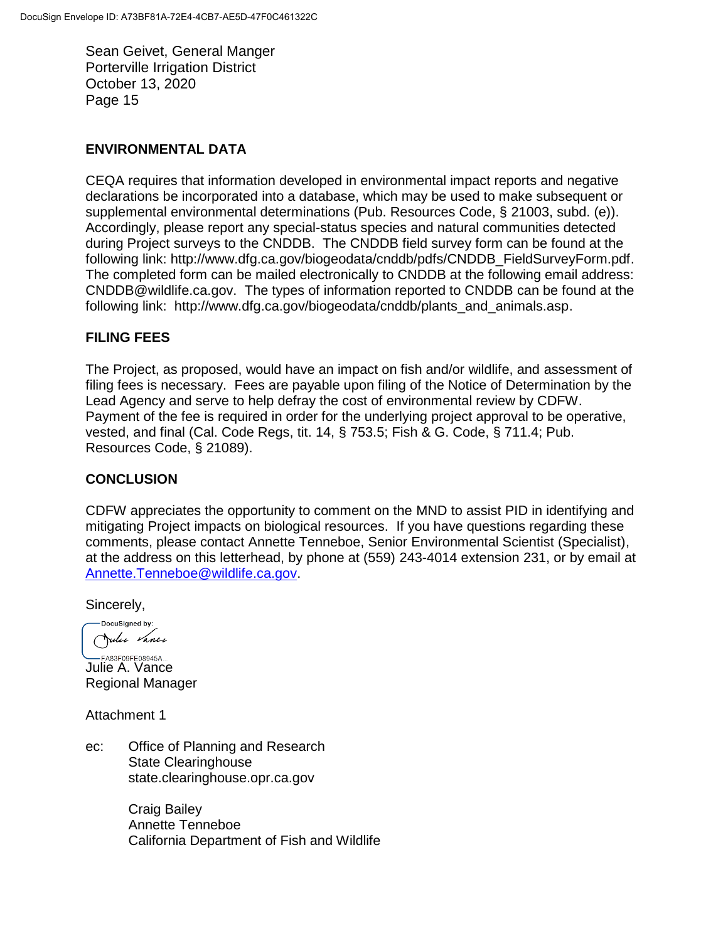#### **ENVIRONMENTAL DATA**

CEQA requires that information developed in environmental impact reports and negative declarations be incorporated into a database, which may be used to make subsequent or supplemental environmental determinations (Pub. Resources Code, § 21003, subd. (e)). Accordingly, please report any special-status species and natural communities detected during Project surveys to the CNDDB. The CNDDB field survey form can be found at the following link: http://www.dfg.ca.gov/biogeodata/cnddb/pdfs/CNDDB\_FieldSurveyForm.pdf. The completed form can be mailed electronically to CNDDB at the following email address: CNDDB@wildlife.ca.gov. The types of information reported to CNDDB can be found at the following link: http://www.dfg.ca.gov/biogeodata/cnddb/plants\_and\_animals.asp.

## **FILING FEES**

The Project, as proposed, would have an impact on fish and/or wildlife, and assessment of filing fees is necessary. Fees are payable upon filing of the Notice of Determination by the Lead Agency and serve to help defray the cost of environmental review by CDFW. Payment of the fee is required in order for the underlying project approval to be operative, vested, and final (Cal. Code Regs, tit. 14, § 753.5; Fish & G. Code, § 711.4; Pub. Resources Code, § 21089).

## **CONCLUSION**

CDFW appreciates the opportunity to comment on the MND to assist PID in identifying and mitigating Project impacts on biological resources. If you have questions regarding these comments, please contact Annette Tenneboe, Senior Environmental Scientist (Specialist), at the address on this letterhead, by phone at (559) 243-4014 extension 231, or by email at [Annette.Tenneboe@wildlife.ca.gov.](mailto:Annette.Tenneboe@wildlife.ca.gov)

Sincerely,

-DocuSigned by: Julie Vance

**SAB FA83F09FE08945A...**<br>Julie A. Vance Regional Manager

Attachment 1

ec: Office of Planning and Research State Clearinghouse state.clearinghouse.opr.ca.gov

> Craig Bailey Annette Tenneboe California Department of Fish and Wildlife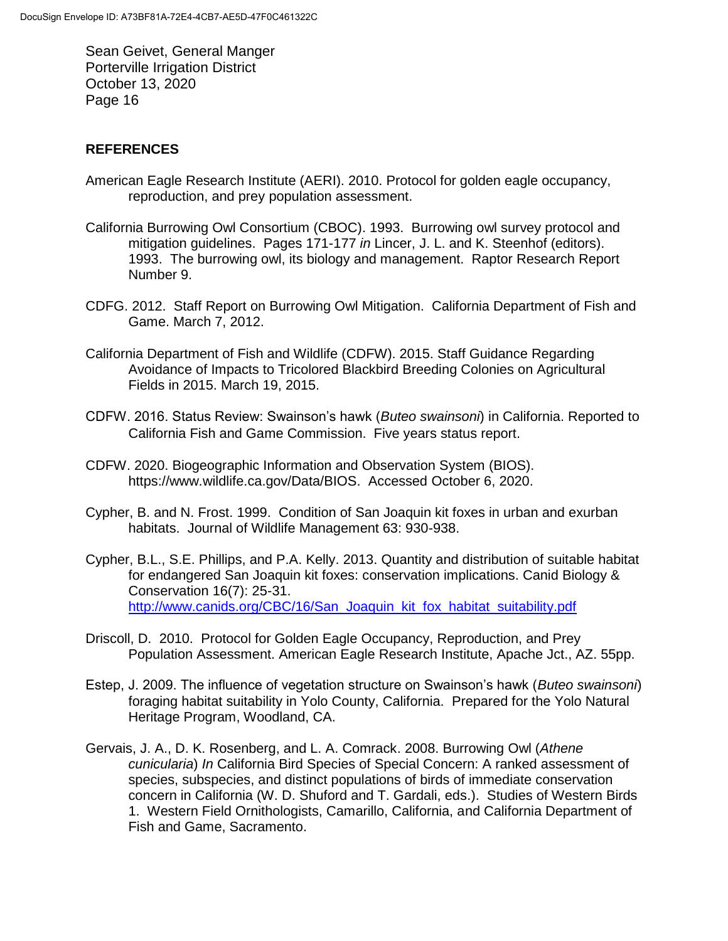## **REFERENCES**

- American Eagle Research Institute (AERI). 2010. Protocol for golden eagle occupancy, reproduction, and prey population assessment.
- California Burrowing Owl Consortium (CBOC). 1993. Burrowing owl survey protocol and mitigation guidelines. Pages 171-177 *in* Lincer, J. L. and K. Steenhof (editors). 1993. The burrowing owl, its biology and management. Raptor Research Report Number 9.
- CDFG. 2012. Staff Report on Burrowing Owl Mitigation. California Department of Fish and Game. March 7, 2012.
- California Department of Fish and Wildlife (CDFW). 2015. Staff Guidance Regarding Avoidance of Impacts to Tricolored Blackbird Breeding Colonies on Agricultural Fields in 2015. March 19, 2015.
- CDFW. 2016. Status Review: Swainson's hawk (*Buteo swainsoni*) in California. Reported to California Fish and Game Commission. Five years status report.
- CDFW. 2020. Biogeographic Information and Observation System (BIOS). https://www.wildlife.ca.gov/Data/BIOS. Accessed October 6, 2020.
- Cypher, B. and N. Frost. 1999. Condition of San Joaquin kit foxes in urban and exurban habitats. Journal of Wildlife Management 63: 930-938.
- Cypher, B.L., S.E. Phillips, and P.A. Kelly. 2013. Quantity and distribution of suitable habitat for endangered San Joaquin kit foxes: conservation implications. Canid Biology & Conservation 16(7): 25-31. [http://www.canids.org/CBC/16/San\\_Joaquin\\_kit\\_fox\\_habitat\\_suitability.pdf](http://www.canids.org/CBC/16/San_Joaquin_kit_fox_habitat_suitability.pdf)
- Driscoll, D. 2010. Protocol for Golden Eagle Occupancy, Reproduction, and Prey Population Assessment. American Eagle Research Institute, Apache Jct., AZ. 55pp.
- Estep, J. 2009. The influence of vegetation structure on Swainson's hawk (*Buteo swainsoni*) foraging habitat suitability in Yolo County, California. Prepared for the Yolo Natural Heritage Program, Woodland, CA.
- Gervais, J. A., D. K. Rosenberg, and L. A. Comrack. 2008. Burrowing Owl (*Athene cunicularia*) *In* California Bird Species of Special Concern: A ranked assessment of species, subspecies, and distinct populations of birds of immediate conservation concern in California (W. D. Shuford and T. Gardali, eds.). Studies of Western Birds 1. Western Field Ornithologists, Camarillo, California, and California Department of Fish and Game, Sacramento.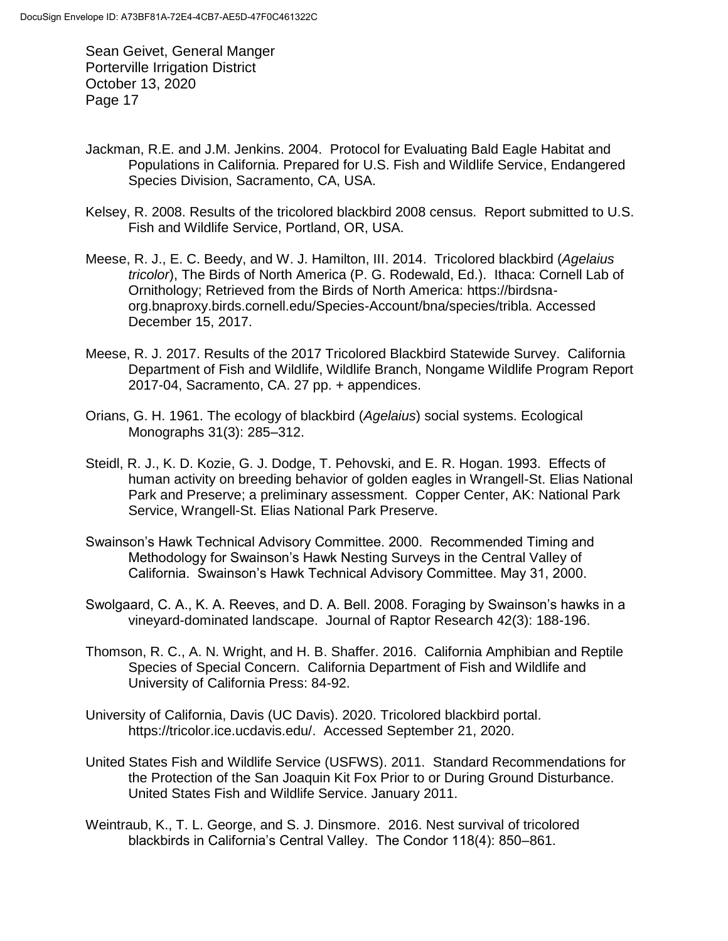- Jackman, R.E. and J.M. Jenkins. 2004. Protocol for Evaluating Bald Eagle Habitat and Populations in California. Prepared for U.S. Fish and Wildlife Service, Endangered Species Division, Sacramento, CA, USA.
- Kelsey, R. 2008. Results of the tricolored blackbird 2008 census. Report submitted to U.S. Fish and Wildlife Service, Portland, OR, USA.
- Meese, R. J., E. C. Beedy, and W. J. Hamilton, III. 2014. Tricolored blackbird (*Agelaius tricolor*), The Birds of North America (P. G. Rodewald, Ed.). Ithaca: Cornell Lab of Ornithology; Retrieved from the Birds of North America: https://birdsnaorg.bnaproxy.birds.cornell.edu/Species-Account/bna/species/tribla. Accessed December 15, 2017.
- Meese, R. J. 2017. Results of the 2017 Tricolored Blackbird Statewide Survey. California Department of Fish and Wildlife, Wildlife Branch, Nongame Wildlife Program Report 2017-04, Sacramento, CA. 27 pp. + appendices.
- Orians, G. H. 1961. The ecology of blackbird (*Agelaius*) social systems. Ecological Monographs 31(3): 285–312.
- Steidl, R. J., K. D. Kozie, G. J. Dodge, T. Pehovski, and E. R. Hogan. 1993. Effects of human activity on breeding behavior of golden eagles in Wrangell-St. Elias National Park and Preserve; a preliminary assessment. Copper Center, AK: National Park Service, Wrangell-St. Elias National Park Preserve.
- Swainson's Hawk Technical Advisory Committee. 2000. Recommended Timing and Methodology for Swainson's Hawk Nesting Surveys in the Central Valley of California. Swainson's Hawk Technical Advisory Committee. May 31, 2000.
- Swolgaard, C. A., K. A. Reeves, and D. A. Bell. 2008. Foraging by Swainson's hawks in a vineyard-dominated landscape. Journal of Raptor Research 42(3): 188-196.
- Thomson, R. C., A. N. Wright, and H. B. Shaffer. 2016. California Amphibian and Reptile Species of Special Concern. California Department of Fish and Wildlife and University of California Press: 84-92.
- University of California, Davis (UC Davis). 2020. Tricolored blackbird portal. https://tricolor.ice.ucdavis.edu/. Accessed September 21, 2020.
- United States Fish and Wildlife Service (USFWS). 2011. Standard Recommendations for the Protection of the San Joaquin Kit Fox Prior to or During Ground Disturbance. United States Fish and Wildlife Service. January 2011.
- Weintraub, K., T. L. George, and S. J. Dinsmore. 2016. Nest survival of tricolored blackbirds in California's Central Valley. The Condor 118(4): 850–861.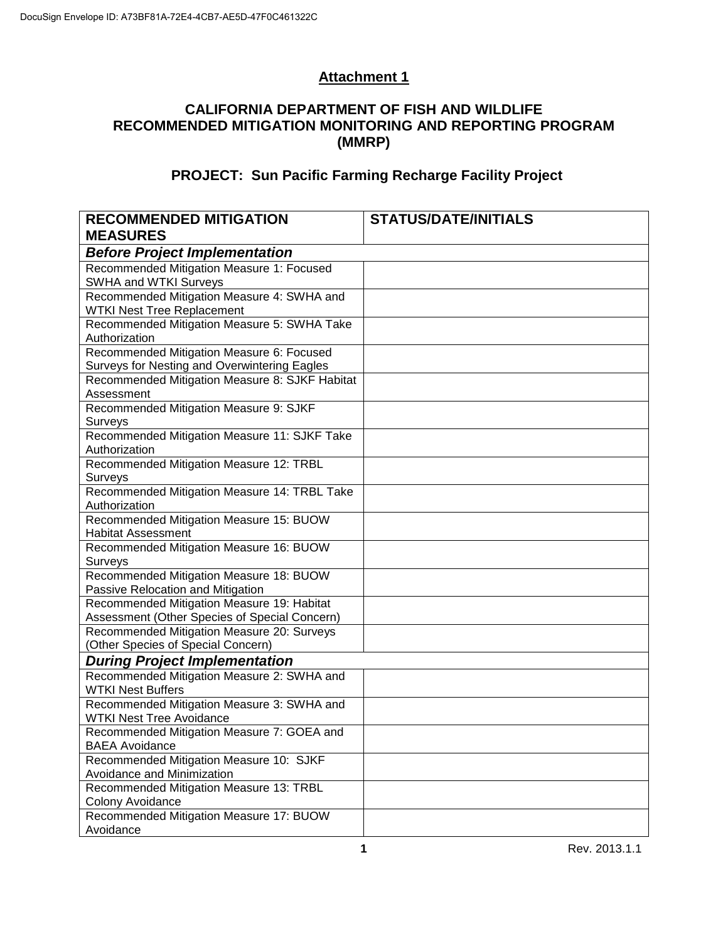# **Attachment 1**

# **CALIFORNIA DEPARTMENT OF FISH AND WILDLIFE RECOMMENDED MITIGATION MONITORING AND REPORTING PROGRAM (MMRP)**

# **PROJECT: Sun Pacific Farming Recharge Facility Project**

| <b>RECOMMENDED MITIGATION</b><br><b>MEASURES</b>             | <b>STATUS/DATE/INITIALS</b> |  |  |  |
|--------------------------------------------------------------|-----------------------------|--|--|--|
| <b>Before Project Implementation</b>                         |                             |  |  |  |
| Recommended Mitigation Measure 1: Focused                    |                             |  |  |  |
| <b>SWHA and WTKI Surveys</b>                                 |                             |  |  |  |
| Recommended Mitigation Measure 4: SWHA and                   |                             |  |  |  |
| <b>WTKI Nest Tree Replacement</b>                            |                             |  |  |  |
| Recommended Mitigation Measure 5: SWHA Take                  |                             |  |  |  |
| Authorization                                                |                             |  |  |  |
| Recommended Mitigation Measure 6: Focused                    |                             |  |  |  |
| Surveys for Nesting and Overwintering Eagles                 |                             |  |  |  |
| Recommended Mitigation Measure 8: SJKF Habitat<br>Assessment |                             |  |  |  |
| Recommended Mitigation Measure 9: SJKF                       |                             |  |  |  |
| Surveys                                                      |                             |  |  |  |
| Recommended Mitigation Measure 11: SJKF Take                 |                             |  |  |  |
| Authorization                                                |                             |  |  |  |
| Recommended Mitigation Measure 12: TRBL                      |                             |  |  |  |
| Surveys                                                      |                             |  |  |  |
| Recommended Mitigation Measure 14: TRBL Take                 |                             |  |  |  |
| Authorization                                                |                             |  |  |  |
| Recommended Mitigation Measure 15: BUOW                      |                             |  |  |  |
| <b>Habitat Assessment</b>                                    |                             |  |  |  |
| Recommended Mitigation Measure 16: BUOW                      |                             |  |  |  |
| Surveys<br>Recommended Mitigation Measure 18: BUOW           |                             |  |  |  |
| Passive Relocation and Mitigation                            |                             |  |  |  |
| Recommended Mitigation Measure 19: Habitat                   |                             |  |  |  |
| Assessment (Other Species of Special Concern)                |                             |  |  |  |
| Recommended Mitigation Measure 20: Surveys                   |                             |  |  |  |
| (Other Species of Special Concern)                           |                             |  |  |  |
| <b>During Project Implementation</b>                         |                             |  |  |  |
| Recommended Mitigation Measure 2: SWHA and                   |                             |  |  |  |
| <b>WTKI Nest Buffers</b>                                     |                             |  |  |  |
| Recommended Mitigation Measure 3: SWHA and                   |                             |  |  |  |
| <b>WTKI Nest Tree Avoidance</b>                              |                             |  |  |  |
| Recommended Mitigation Measure 7: GOEA and                   |                             |  |  |  |
| <b>BAEA Avoidance</b>                                        |                             |  |  |  |
| Recommended Mitigation Measure 10: SJKF                      |                             |  |  |  |
| Avoidance and Minimization                                   |                             |  |  |  |
| Recommended Mitigation Measure 13: TRBL                      |                             |  |  |  |
| Colony Avoidance                                             |                             |  |  |  |
| Recommended Mitigation Measure 17: BUOW                      |                             |  |  |  |
| Avoidance                                                    |                             |  |  |  |